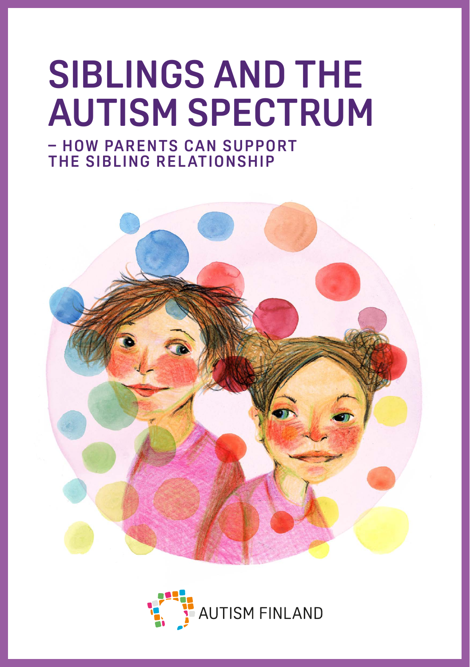# **SIBLINGS AND THE AUTISM SPECTRUM**

**- HOW PARENTS CAN SUPPORT THE SIBLING RELATIONSHIP**



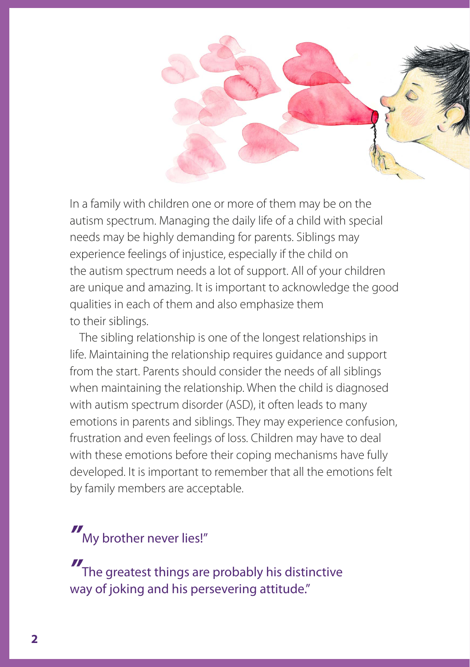

In a family with children one or more of them may be on the autism spectrum. Managing the daily life of a child with special needs may be highly demanding for parents. Siblings may experience feelings of injustice, especially if the child on the autism spectrum needs a lot of support. All of your children are unique and amazing. It is important to acknowledge the good qualities in each of them and also emphasize them to their siblings.

The sibling relationship is one of the longest relationships in life. Maintaining the relationship requires guidance and support from the start. Parents should consider the needs of all siblings when maintaining the relationship. When the child is diagnosed with autism spectrum disorder (ASD), it often leads to many emotions in parents and siblings. They may experience confusion, frustration and even feelings of loss. Children may have to deal with these emotions before their coping mechanisms have fully developed. It is important to remember that all the emotions felt by family members are acceptable.

*"* My brother never lies!"

*"* The greatest things are probably his distinctive way of joking and his persevering attitude."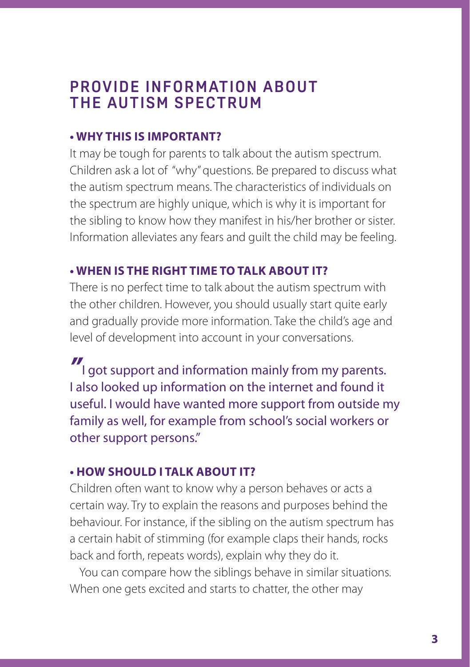## **PROVIDE INFORMATION ABOUT THE AUTISM SPECTRUM**

## **• WHY THIS IS IMPORTANT?**

It may be tough for parents to talk about the autism spectrum. Children ask a lot of "why" questions. Be prepared to discuss what the autism spectrum means. The characteristics of individuals on the spectrum are highly unique, which is why it is important for the sibling to know how they manifest in his/her brother or sister. Information alleviates any fears and guilt the child may be feeling.

## **• WHEN IS THE RIGHT TIME TO TALK ABOUT IT?**

There is no perfect time to talk about the autism spectrum with the other children. However, you should usually start quite early and gradually provide more information. Take the child's age and level of development into account in your conversations.

*"* I got support and information mainly from my parents. I also looked up information on the internet and found it useful. I would have wanted more support from outside my family as well, for example from school's social workers or other support persons."

## **• HOW SHOULD I TALK ABOUT IT?**

Children often want to know why a person behaves or acts a certain way. Try to explain the reasons and purposes behind the behaviour. For instance, if the sibling on the autism spectrum has a certain habit of stimming (for example claps their hands, rocks back and forth, repeats words), explain why they do it.

You can compare how the siblings behave in similar situations. When one gets excited and starts to chatter, the other may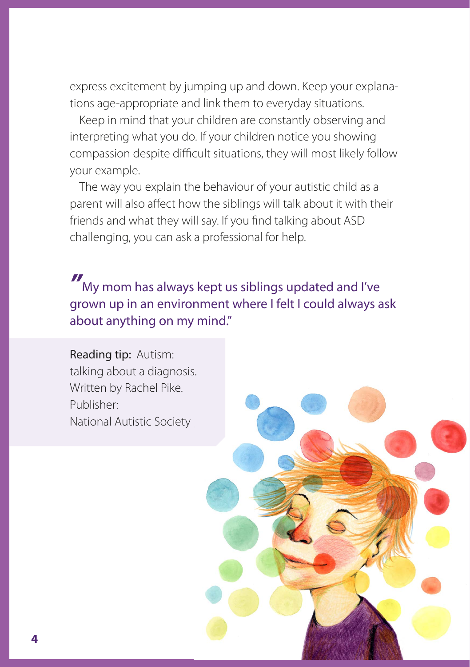express excitement by jumping up and down. Keep your explanations age-appropriate and link them to everyday situations.

Keep in mind that your children are constantly observing and interpreting what you do. If your children notice you showing compassion despite difficult situations, they will most likely follow your example.

The way you explain the behaviour of your autistic child as a parent will also affect how the siblings will talk about it with their friends and what they will say. If you find talking about ASD challenging, you can ask a professional for help.

*"* My mom has always kept us siblings updated and I've grown up in an environment where I felt I could always ask about anything on my mind."

Reading tip: Autism: talking about a diagnosis. Written by Rachel Pike. Publisher: National Autistic Society

**4**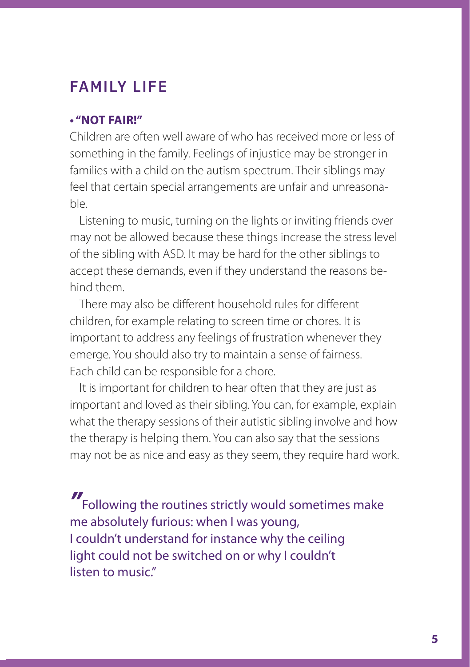# **FAMILY LIFE**

#### **• "NOT FAIR!"**

Children are often well aware of who has received more or less of something in the family. Feelings of injustice may be stronger in families with a child on the autism spectrum. Their siblings may feel that certain special arrangements are unfair and unreasonable.

Listening to music, turning on the lights or inviting friends over may not be allowed because these things increase the stress level of the sibling with ASD. It may be hard for the other siblings to accept these demands, even if they understand the reasons behind them.

There may also be different household rules for different children, for example relating to screen time or chores. It is important to address any feelings of frustration whenever they emerge. You should also try to maintain a sense of fairness. Each child can be responsible for a chore.

It is important for children to hear often that they are just as important and loved as their sibling. You can, for example, explain what the therapy sessions of their autistic sibling involve and how the therapy is helping them. You can also say that the sessions may not be as nice and easy as they seem, they require hard work.

*"* Following the routines strictly would sometimes make me absolutely furious: when I was young, I couldn't understand for instance why the ceiling light could not be switched on or why I couldn't listen to music"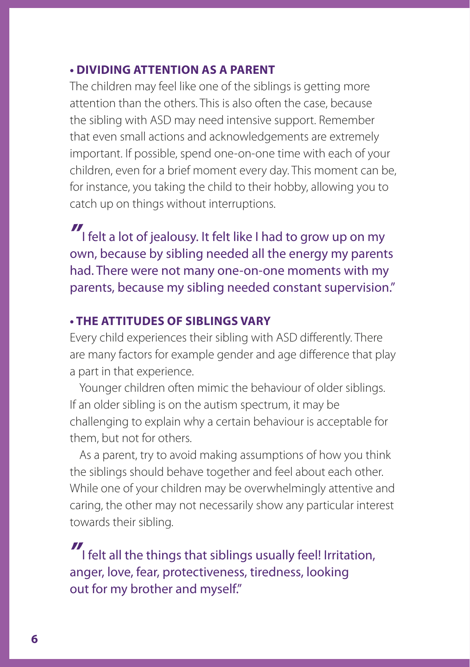## **• DIVIDING ATTENTION AS A PARENT**

The children may feel like one of the siblings is getting more attention than the others. This is also often the case, because the sibling with ASD may need intensive support. Remember that even small actions and acknowledgements are extremely important. If possible, spend one-on-one time with each of your children, even for a brief moment every day. This moment can be, for instance, you taking the child to their hobby, allowing you to catch up on things without interruptions.

*"* I felt a lot of jealousy. It felt like I had to grow up on my own, because by sibling needed all the energy my parents had. There were not many one-on-one moments with my parents, because my sibling needed constant supervision."

#### **• THE ATTITUDES OF SIBLINGS VARY**

Every child experiences their sibling with ASD differently. There are many factors for example gender and age difference that play a part in that experience.

Younger children often mimic the behaviour of older siblings. If an older sibling is on the autism spectrum, it may be challenging to explain why a certain behaviour is acceptable for them, but not for others.

As a parent, try to avoid making assumptions of how you think the siblings should behave together and feel about each other. While one of your children may be overwhelmingly attentive and caring, the other may not necessarily show any particular interest towards their sibling.

*"* I felt all the things that siblings usually feel! Irritation, anger, love, fear, protectiveness, tiredness, looking out for my brother and myself."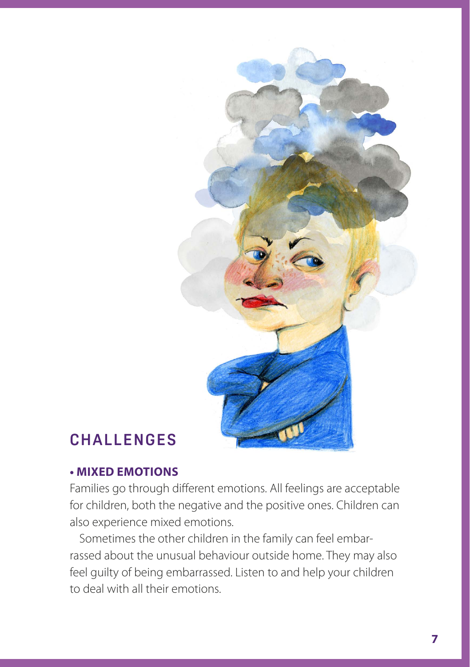

# **C H A L L E N G E S**

#### **• MIXED EMOTIONS**

Families go through different emotions. All feelings are acceptable for children, both the negative and the positive ones. Children can also experience mixed emotions.

Sometimes the other children in the family can feel embarrassed about the unusual behaviour outside home. They may also feel guilty of being embarrassed. Listen to and help your children to deal with all their emotions.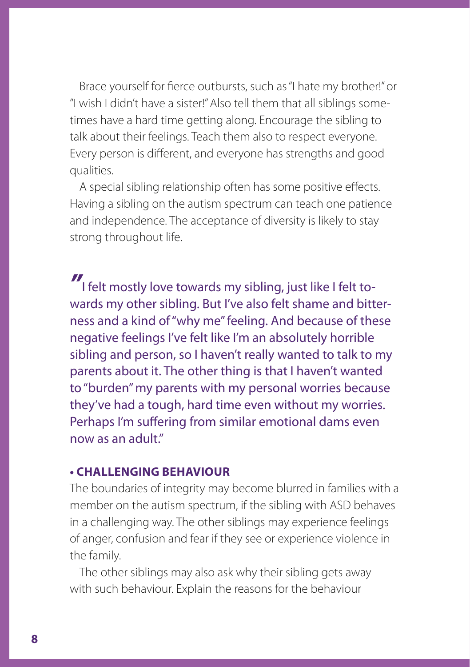Brace yourself for fierce outbursts, such as "I hate my brother!" or "I wish I didn't have a sister!" Also tell them that all siblings sometimes have a hard time getting along. Encourage the sibling to talk about their feelings. Teach them also to respect everyone. Every person is different, and everyone has strengths and good qualities.

A special sibling relationship often has some positive effects. Having a sibling on the autism spectrum can teach one patience and independence. The acceptance of diversity is likely to stay strong throughout life.

*"* I felt mostly love towards my sibling, just like I felt towards my other sibling. But I've also felt shame and bitterness and a kind of "why me" feeling. And because of these negative feelings I've felt like I'm an absolutely horrible sibling and person, so I haven't really wanted to talk to my parents about it. The other thing is that I haven't wanted to "burden" my parents with my personal worries because they've had a tough, hard time even without my worries. Perhaps I'm suffering from similar emotional dams even now as an adult."

#### **• CHALLENGING BEHAVIOUR**

The boundaries of integrity may become blurred in families with a member on the autism spectrum, if the sibling with ASD behaves in a challenging way. The other siblings may experience feelings of anger, confusion and fear if they see or experience violence in the family.

The other siblings may also ask why their sibling gets away with such behaviour. Explain the reasons for the behaviour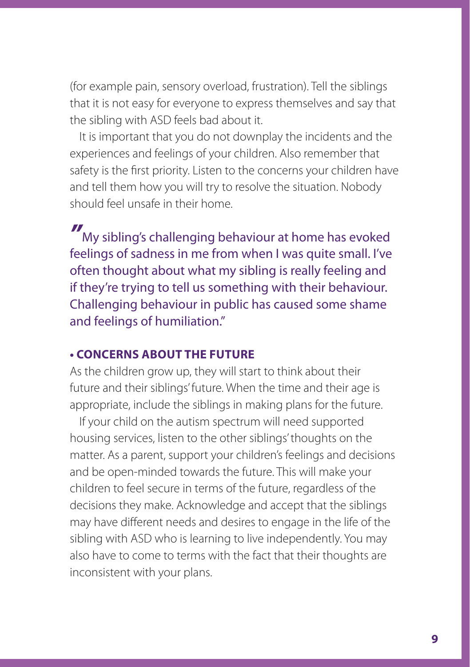(for example pain, sensory overload, frustration). Tell the siblings that it is not easy for everyone to express themselves and say that the sibling with ASD feels bad about it.

It is important that you do not downplay the incidents and the experiences and feelings of your children. Also remember that safety is the first priority. Listen to the concerns your children have and tell them how you will try to resolve the situation. Nobody should feel unsafe in their home.

*"* My sibling's challenging behaviour at home has evoked feelings of sadness in me from when I was quite small. I've often thought about what my sibling is really feeling and if they're trying to tell us something with their behaviour. Challenging behaviour in public has caused some shame and feelings of humiliation."

#### **• CONCERNS ABOUT THE FUTURE**

As the children grow up, they will start to think about their future and their siblings' future. When the time and their age is appropriate, include the siblings in making plans for the future.

If your child on the autism spectrum will need supported housing services, listen to the other siblings' thoughts on the matter. As a parent, support your children's feelings and decisions and be open-minded towards the future. This will make your children to feel secure in terms of the future, regardless of the decisions they make. Acknowledge and accept that the siblings may have different needs and desires to engage in the life of the sibling with ASD who is learning to live independently. You may also have to come to terms with the fact that their thoughts are inconsistent with your plans.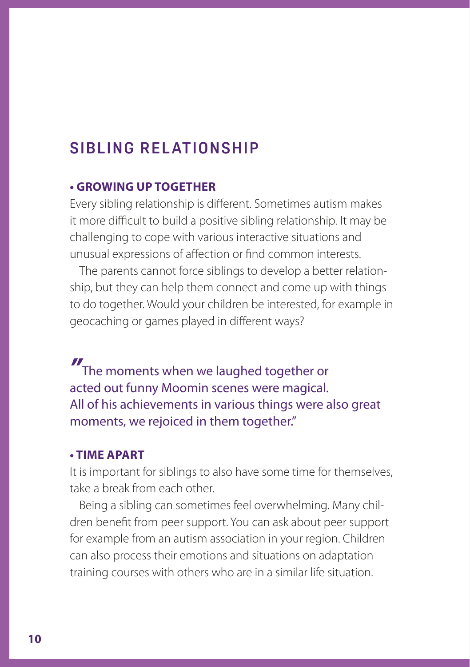# **SIBLING RELATIONSHIP**

#### **• GROWING UP TOGETHER**

Every sibling relationship is different. Sometimes autism makes it more difficult to build a positive sibling relationship. It may be challenging to cope with various interactive situations and unusual expressions of affection or find common interests.

The parents cannot force siblings to develop a better relationship, but they can help them connect and come up with things to do together. Would your children be interested, for example in geocaching or games played in different ways?

*"* The moments when we laughed together or acted out funny Moomin scenes were magical. All of his achievements in various things were also great moments, we rejoiced in them together."

#### **• TIME APART**

It is important for siblings to also have some time for themselves, take a break from each other.

Being a sibling can sometimes feel overwhelming. Many children benefit from peer support. You can ask about peer support for example from an autism association in your region. Children can also process their emotions and situations on adaptation training courses with others who are in a similar life situation.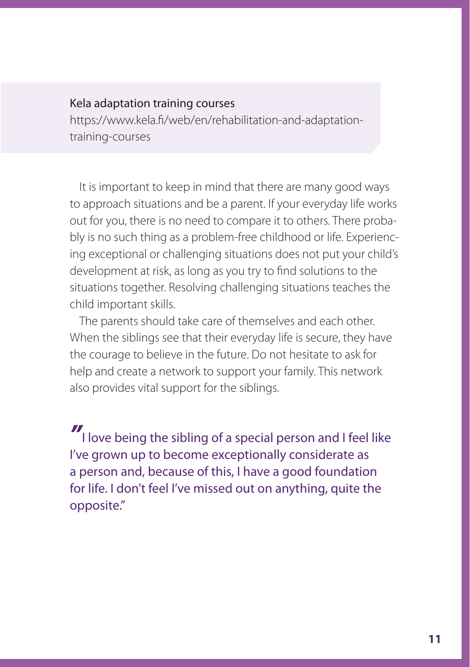#### Kela adaptation training courses

https://www.kela.fi/web/en/rehabilitation-and-adaptationtraining-courses

It is important to keep in mind that there are many good ways to approach situations and be a parent. If your everyday life works out for you, there is no need to compare it to others. There probably is no such thing as a problem-free childhood or life. Experiencing exceptional or challenging situations does not put your child's development at risk, as long as you try to find solutions to the situations together. Resolving challenging situations teaches the child important skills.

The parents should take care of themselves and each other. When the siblings see that their everyday life is secure, they have the courage to believe in the future. Do not hesitate to ask for help and create a network to support your family. This network also provides vital support for the siblings.

*"* I love being the sibling of a special person and I feel like I've grown up to become exceptionally considerate as a person and, because of this, I have a good foundation for life. I don't feel I've missed out on anything, quite the opposite."